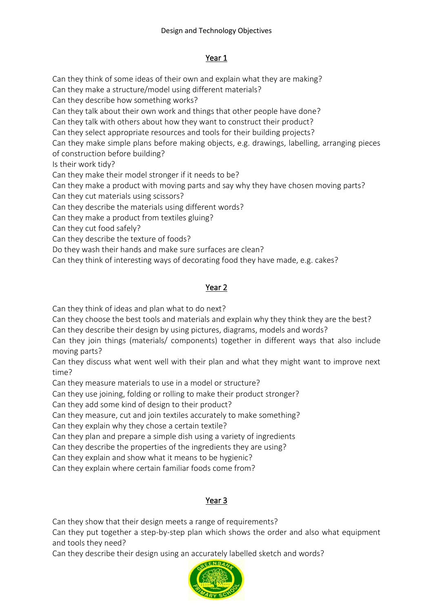## Year 1

Can they think of some ideas of their own and explain what they are making? Can they make a structure/model using different materials? Can they describe how something works? Can they talk about their own work and things that other people have done? Can they talk with others about how they want to construct their product? Can they select appropriate resources and tools for their building projects? Can they make simple plans before making objects, e.g. drawings, labelling, arranging pieces of construction before building? Is their work tidy? Can they make their model stronger if it needs to be? Can they make a product with moving parts and say why they have chosen moving parts? Can they cut materials using scissors? Can they describe the materials using different words? Can they make a product from textiles gluing? Can they cut food safely? Can they describe the texture of foods?

Do they wash their hands and make sure surfaces are clean?

Can they think of interesting ways of decorating food they have made, e.g. cakes?

# Year 2

Can they think of ideas and plan what to do next?

Can they choose the best tools and materials and explain why they think they are the best? Can they describe their design by using pictures, diagrams, models and words?

Can they join things (materials/ components) together in different ways that also include moving parts?

Can they discuss what went well with their plan and what they might want to improve next time?

Can they measure materials to use in a model or structure?

Can they use joining, folding or rolling to make their product stronger?

Can they add some kind of design to their product?

Can they measure, cut and join textiles accurately to make something?

Can they explain why they chose a certain textile?

Can they plan and prepare a simple dish using a variety of ingredients

Can they describe the properties of the ingredients they are using?

Can they explain and show what it means to be hygienic?

Can they explain where certain familiar foods come from?

## Year 3

Can they show that their design meets a range of requirements?

Can they put together a step-by-step plan which shows the order and also what equipment and tools they need?

Can they describe their design using an accurately labelled sketch and words?

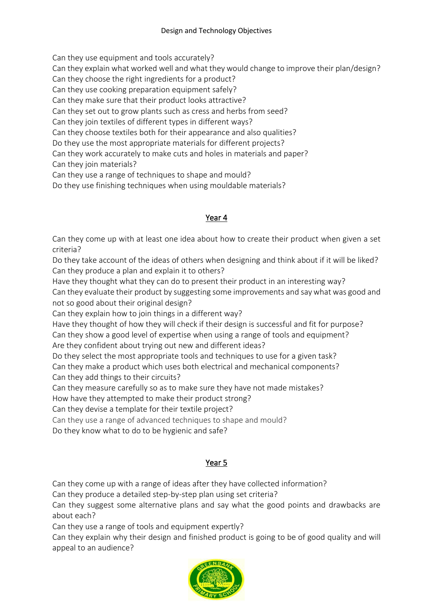Can they use equipment and tools accurately?

Can they explain what worked well and what they would change to improve their plan/design?

Can they choose the right ingredients for a product?

Can they use cooking preparation equipment safely?

Can they make sure that their product looks attractive?

Can they set out to grow plants such as cress and herbs from seed?

Can they join textiles of different types in different ways?

Can they choose textiles both for their appearance and also qualities?

Do they use the most appropriate materials for different projects?

Can they work accurately to make cuts and holes in materials and paper? Can they join materials?

Can they use a range of techniques to shape and mould?

Do they use finishing techniques when using mouldable materials?

### Year 4

Can they come up with at least one idea about how to create their product when given a set criteria?

Do they take account of the ideas of others when designing and think about if it will be liked? Can they produce a plan and explain it to others?

Have they thought what they can do to present their product in an interesting way? Can they evaluate their product by suggesting some improvements and say what was good and not so good about their original design?

Can they explain how to join things in a different way?

Have they thought of how they will check if their design is successful and fit for purpose? Can they show a good level of expertise when using a range of tools and equipment?

Are they confident about trying out new and different ideas?

Do they select the most appropriate tools and techniques to use for a given task? Can they make a product which uses both electrical and mechanical components?

Can they add things to their circuits?

Can they measure carefully so as to make sure they have not made mistakes?

How have they attempted to make their product strong?

Can they devise a template for their textile project?

Can they use a range of advanced techniques to shape and mould?

Do they know what to do to be hygienic and safe?

## Year 5

Can they come up with a range of ideas after they have collected information?

Can they produce a detailed step-by-step plan using set criteria?

Can they suggest some alternative plans and say what the good points and drawbacks are about each?

Can they use a range of tools and equipment expertly?

Can they explain why their design and finished product is going to be of good quality and will appeal to an audience?